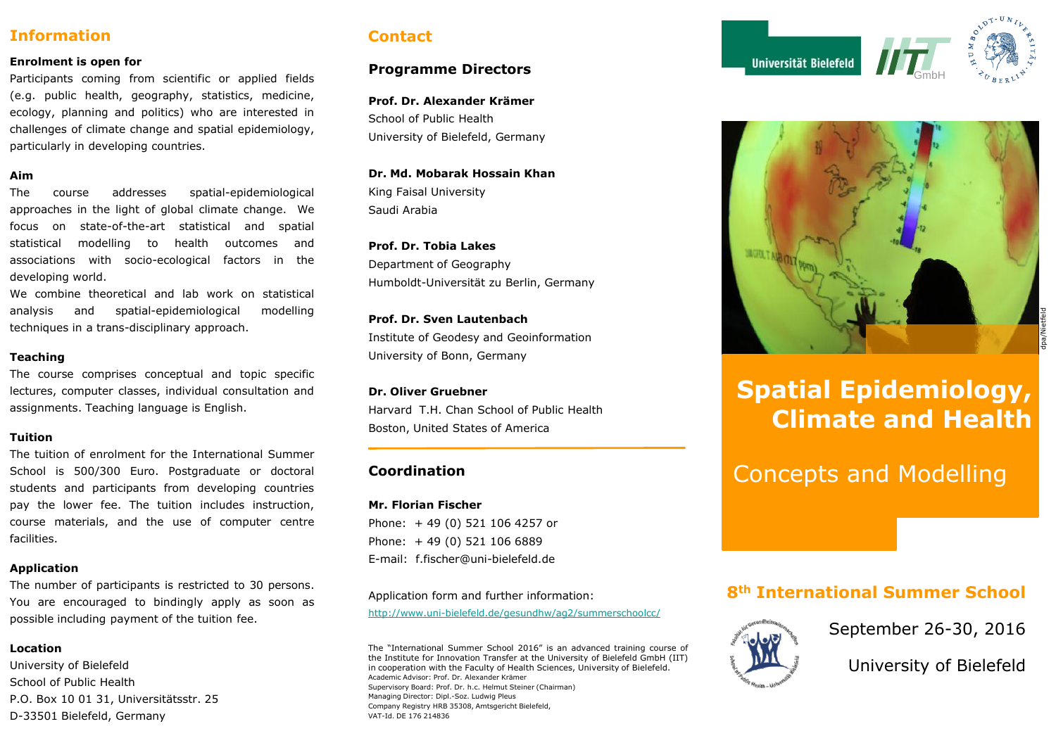# **Information**

#### **Enrolment is open for**

Participants coming from scientific or applied fields (e.g. public health, geography, statistics, medicine, ecology, planning and politics) who are interested in challenges of climate change and spatial epidemiology, particularly in developing countries.

#### **Aim**

The course addresses spatial-epidemiological approaches in the light of global climate change. We focus on state-of-the-art statistical and spatial statistical modelling to health outcomes and associations with socio-ecological factors in the developing world.

We combine theoretical and lab work on statistical analysis and spatial-epidemiological modelling techniques in a trans-disciplinary approach.

#### **Teaching**

The course comprises conceptual and topic specific lectures, computer classes, individual consultation and assignments. Teaching language is English.

#### **Tuition**

The tuition of enrolment for the International Summer School is 500/300 Euro. Postgraduate or doctoral students and participants from developing countries pay the lower fee. The tuition includes instruction, course materials, and the use of computer centre facilities.

#### **Application**

The number of participants is restricted to 30 persons. You are encouraged to bindingly apply as soon as possible including payment of the tuition fee.

#### **Location**

University of Bielefeld School of Public Health P.O. Box 10 01 31, Universitätsstr. 25 D-33501 Bielefeld, Germany

# **Contact**

### **Programme Directors**

**Prof. Dr. Alexander Krämer** School of Public Health University of Bielefeld, Germany

#### **Dr. Md. Mobarak Hossain Khan**

King Faisal University Saudi Arabia

**Prof. Dr. Tobia Lakes** Department of Geography Humboldt-Universität zu Berlin, Germany

**Prof. Dr. Sven Lautenbach** Institute of Geodesy and Geoinformation University of Bonn, Germany

#### **Dr. Oliver Gruebner**

Harvard T.H. Chan School of Public Health Boston, United States of America

### **Coordination**

**Mr. Florian Fischer** Phone: + 49 (0) 521 106 4257 or Phone: + 49 (0) 521 106 6889

E-mail: f.fischer@uni-bielefeld.de

Application form and further information:

<http://www.uni-bielefeld.de/gesundhw/ag2/summerschoolcc/>

The "International Summer School 2016" is an advanced training course of the Institute for Innovation Transfer at the University of Bielefeld GmbH (IIT) in cooperation with the Faculty of Health Sciences, University of Bielefeld. Academic Advisor: Prof. Dr. Alexander Krämer Supervisory Board: Prof. Dr. h.c. Helmut Steiner (Chairman) Managing Director: Dipl.-Soz. Ludwig Pleus

Company Registry HRB 35308, Amtsgericht Bielefeld, VAT-Id. DE 176 214836





# **Spatial Epidemiology, Climate and Health**

Concepts and Modelling

# **8th International Summer School**



September 26-30, 2016

University of Bielefeld